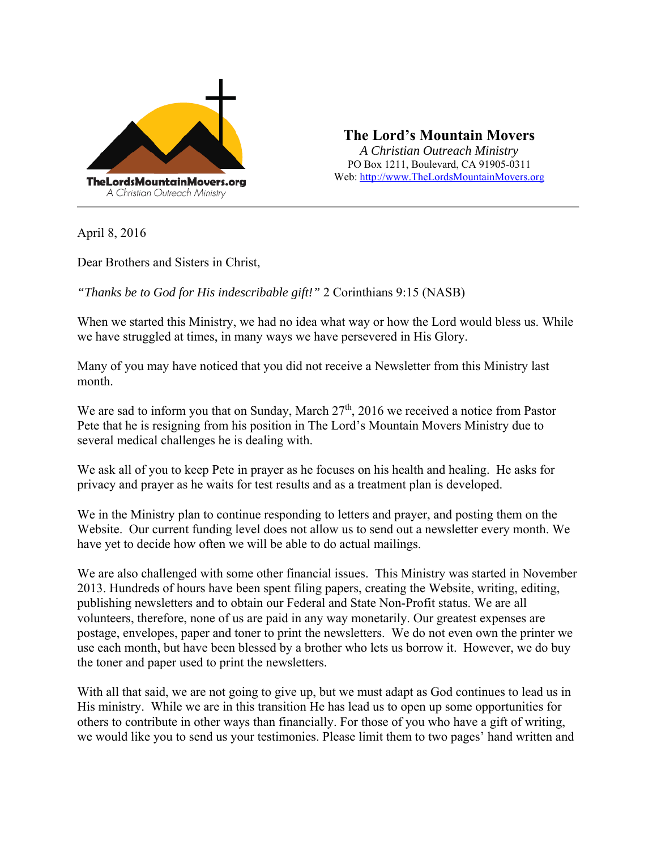

**The Lord's Mountain Movers**  *A Christian Outreach Ministry* 

PO Box 1211, Boulevard, CA 91905-0311 Web: http://www.TheLordsMountainMovers.org

April 8, 2016

Dear Brothers and Sisters in Christ,

*"Thanks be to God for His indescribable gift!"* 2 Corinthians 9:15 (NASB)

When we started this Ministry, we had no idea what way or how the Lord would bless us. While we have struggled at times, in many ways we have persevered in His Glory.

Many of you may have noticed that you did not receive a Newsletter from this Ministry last month.

We are sad to inform you that on Sunday, March 27<sup>th</sup>, 2016 we received a notice from Pastor Pete that he is resigning from his position in The Lord's Mountain Movers Ministry due to several medical challenges he is dealing with.

We ask all of you to keep Pete in prayer as he focuses on his health and healing. He asks for privacy and prayer as he waits for test results and as a treatment plan is developed.

We in the Ministry plan to continue responding to letters and prayer, and posting them on the Website. Our current funding level does not allow us to send out a newsletter every month. We have yet to decide how often we will be able to do actual mailings.

We are also challenged with some other financial issues. This Ministry was started in November 2013. Hundreds of hours have been spent filing papers, creating the Website, writing, editing, publishing newsletters and to obtain our Federal and State Non-Profit status. We are all volunteers, therefore, none of us are paid in any way monetarily. Our greatest expenses are postage, envelopes, paper and toner to print the newsletters. We do not even own the printer we use each month, but have been blessed by a brother who lets us borrow it. However, we do buy the toner and paper used to print the newsletters.

With all that said, we are not going to give up, but we must adapt as God continues to lead us in His ministry. While we are in this transition He has lead us to open up some opportunities for others to contribute in other ways than financially. For those of you who have a gift of writing, we would like you to send us your testimonies. Please limit them to two pages' hand written and